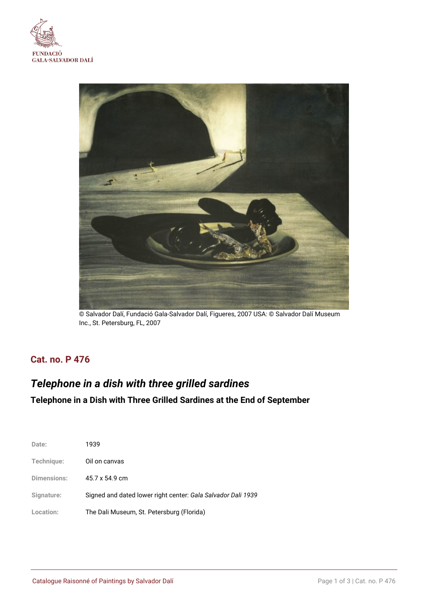



© Salvador Dalí, Fundació Gala-Salvador Dalí, Figueres, 2007 USA: © Salvador Dalí Museum Inc., St. Petersburg, FL, 2007

## **Cat. no. P 476**

# *Telephone in a dish with three grilled sardines*

# **Telephone in a Dish with Three Grilled Sardines at the End of September**

| Date:              | 1939                                                         |
|--------------------|--------------------------------------------------------------|
| Technique:         | Oil on canvas                                                |
| <b>Dimensions:</b> | 45.7 x 54.9 cm                                               |
| Signature:         | Signed and dated lower right center: Gala Salvador Dali 1939 |
| Location:          | The Dali Museum, St. Petersburg (Florida)                    |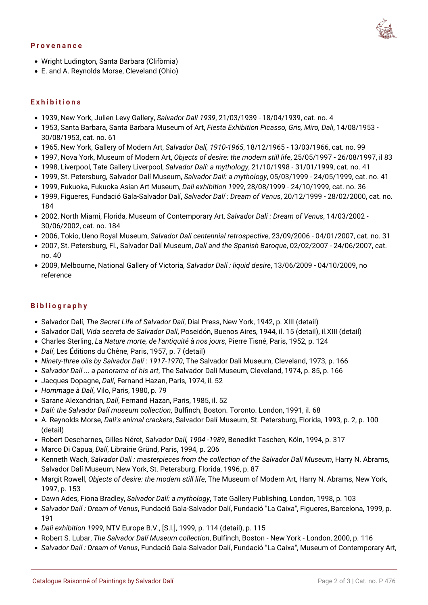#### **Provenance**



- Wright Ludington, Santa Barbara (Clifòrnia)
- E. and A. Reynolds Morse, Cleveland (Ohio)

### **Exhibitions**

- 1939, New York, Julien Levy Gallery, *Salvador Dali 1939*, 21/03/1939 18/04/1939, cat. no. 4
- 1953, Santa Barbara, Santa Barbara Museum of Art, *Fiesta Exhibition Picasso, Gris, Miro, Dali*, 14/08/1953 30/08/1953, cat. no. 61
- 1965, New York, Gallery of Modern Art, *Salvador Dalí, 1910-1965*, 18/12/1965 13/03/1966, cat. no. 99
- 1997, Nova York, Museum of Modern Art, *Objects of desire: the modern still life*, 25/05/1997 26/08/1997, il 83
- 1998, Liverpool, Tate Gallery Liverpool, *Salvador Dalí: a mythology*, 21/10/1998 31/01/1999, cat. no. 41
- 1999, St. Petersburg, Salvador Dalí Museum, *Salvador Dalí: a mythology*, 05/03/1999 24/05/1999, cat. no. 41
- 1999, Fukuoka, Fukuoka Asian Art Museum, *Dali exhibition 1999*, 28/08/1999 24/10/1999, cat. no. 36
- 1999, Figueres, Fundació Gala-Salvador Dalí, *Salvador Dalí : Dream of Venus*, 20/12/1999 28/02/2000, cat. no. 184
- 2002, North Miami, Florida, Museum of Contemporary Art, *Salvador Dalí : Dream of Venus*, 14/03/2002 30/06/2002, cat. no. 184
- 2006, Tokio, Ueno Royal Museum, *Salvador Dali centennial retrospective*, 23/09/2006 04/01/2007, cat. no. 31
- 2007, St. Petersburg, Fl., Salvador Dalí Museum, *Dalí and the Spanish Baroque*, 02/02/2007 24/06/2007, cat. no. 40
- 2009, Melbourne, National Gallery of Victoria, *Salvador Dalí : liquid desire*, 13/06/2009 04/10/2009, no reference

## **Bibliography**

- Salvador Dalí, *The Secret Life of Salvador Dalí*, Dial Press, New York, 1942, p. XIII (detail)
- Salvador Dalí, *Vida secreta de Salvador Dalí*, Poseidón, Buenos Aires, 1944, il. 15 (detail), il.XIII (detail)
- Charles Sterling, *La Nature morte, de l'antiquité à nos jours*, Pierre Tisné, Paris, 1952, p. 124
- *Dalí*, Les Éditions du Chêne, Paris, 1957, p. 7 (detail)
- *Ninety-three oils by Salvador Dalí : 1917-1970*, The Salvador Dali Museum, Cleveland, 1973, p. 166
- *Salvador Dalí ... a panorama of his art*, The Salvador Dali Museum, Cleveland, 1974, p. 85, p. 166
- Jacques Dopagne, *Dalí*, Fernand Hazan, Paris, 1974, il. 52
- *Hommage à Dalí*, Vilo, Paris, 1980, p. 79
- Sarane Alexandrian, *Dalí*, Fernand Hazan, Paris, 1985, il. 52
- *Dalí: the Salvador Dalí museum collection*, Bulfinch, Boston. Toronto. London, 1991, il. 68
- A. Reynolds Morse, *Dali's animal crackers*, Salvador Dalí Museum, St. Petersburg, Florida, 1993, p. 2, p. 100 (detail)
- Robert Descharnes, Gilles Néret, *Salvador Dalí, 1904 -1989*, Benedikt Taschen, Köln, 1994, p. 317
- Marco Di Capua, *Dalí*, Librairie Gründ, Paris, 1994, p. 206
- Kenneth Wach, *Salvador Dalí : masterpieces from the collection of the Salvador Dalí Museum*, Harry N. Abrams, Salvador Dalí Museum, New York, St. Petersburg, Florida, 1996, p. 87
- Margit Rowell, *Objects of desire: the modern still life*, The Museum of Modern Art, Harry N. Abrams, New York, 1997, p. 153
- Dawn Ades, Fiona Bradley, *Salvador Dalí: a mythology*, Tate Gallery Publishing, London, 1998, p. 103
- *Salvador Dalí : Dream of Venus*, Fundació Gala-Salvador Dalí, Fundació "La Caixa", Figueres, Barcelona, 1999, p. 191
- *Dali exhibition 1999*, NTV Europe B.V., [S.l.], 1999, p. 114 (detail), p. 115
- Robert S. Lubar, *The Salvador Dalí Museum collection*, Bulfinch, Boston New York London, 2000, p. 116
- *Salvador Dalí : Dream of Venus*, Fundació Gala-Salvador Dalí, Fundació "La Caixa", Museum of Contemporary Art,